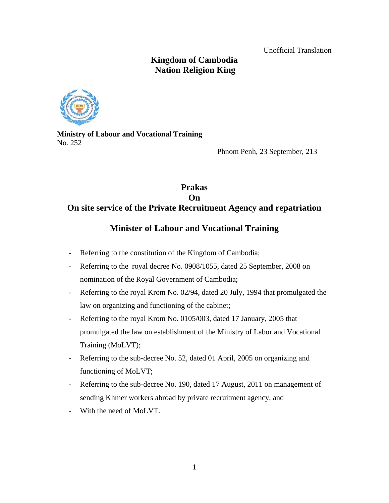Unofficial Translation

# **Kingdom of Cambodia Nation Religion King**



**Ministry of Labour and Vocational Training**  No. 252

Phnom Penh, 23 September, 213

# **Prakas On On site service of the Private Recruitment Agency and repatriation**

# **Minister of Labour and Vocational Training**

- Referring to the constitution of the Kingdom of Cambodia;
- Referring to the royal decree No. 0908/1055, dated 25 September, 2008 on nomination of the Royal Government of Cambodia;
- Referring to the royal Krom No. 02/94, dated 20 July, 1994 that promulgated the law on organizing and functioning of the cabinet;
- Referring to the royal Krom No. 0105/003, dated 17 January, 2005 that promulgated the law on establishment of the Ministry of Labor and Vocational Training (MoLVT);
- Referring to the sub-decree No. 52, dated 01 April, 2005 on organizing and functioning of MoLVT;
- Referring to the sub-decree No. 190, dated 17 August, 2011 on management of sending Khmer workers abroad by private recruitment agency, and
- With the need of MoLVT.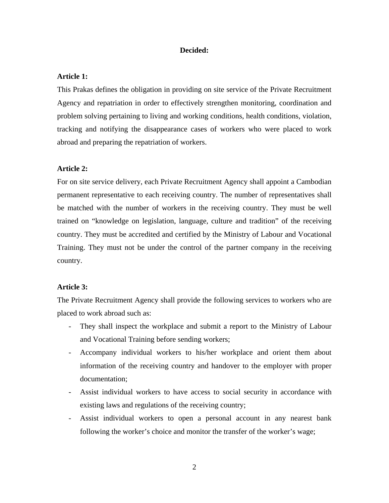## **Decided:**

## **Article 1:**

This Prakas defines the obligation in providing on site service of the Private Recruitment Agency and repatriation in order to effectively strengthen monitoring, coordination and problem solving pertaining to living and working conditions, health conditions, violation, tracking and notifying the disappearance cases of workers who were placed to work abroad and preparing the repatriation of workers.

#### **Article 2:**

For on site service delivery, each Private Recruitment Agency shall appoint a Cambodian permanent representative to each receiving country. The number of representatives shall be matched with the number of workers in the receiving country. They must be well trained on "knowledge on legislation, language, culture and tradition" of the receiving country. They must be accredited and certified by the Ministry of Labour and Vocational Training. They must not be under the control of the partner company in the receiving country.

## **Article 3:**

The Private Recruitment Agency shall provide the following services to workers who are placed to work abroad such as:

- They shall inspect the workplace and submit a report to the Ministry of Labour and Vocational Training before sending workers;
- Accompany individual workers to his/her workplace and orient them about information of the receiving country and handover to the employer with proper documentation;
- Assist individual workers to have access to social security in accordance with existing laws and regulations of the receiving country;
- Assist individual workers to open a personal account in any nearest bank following the worker's choice and monitor the transfer of the worker's wage;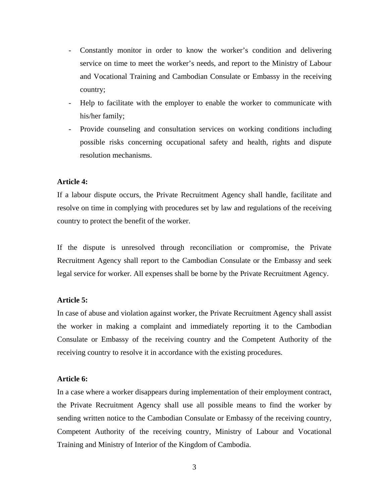- Constantly monitor in order to know the worker's condition and delivering service on time to meet the worker's needs, and report to the Ministry of Labour and Vocational Training and Cambodian Consulate or Embassy in the receiving country;
- Help to facilitate with the employer to enable the worker to communicate with his/her family;
- Provide counseling and consultation services on working conditions including possible risks concerning occupational safety and health, rights and dispute resolution mechanisms.

## **Article 4:**

If a labour dispute occurs, the Private Recruitment Agency shall handle, facilitate and resolve on time in complying with procedures set by law and regulations of the receiving country to protect the benefit of the worker.

If the dispute is unresolved through reconciliation or compromise, the Private Recruitment Agency shall report to the Cambodian Consulate or the Embassy and seek legal service for worker. All expenses shall be borne by the Private Recruitment Agency.

### **Article 5:**

In case of abuse and violation against worker, the Private Recruitment Agency shall assist the worker in making a complaint and immediately reporting it to the Cambodian Consulate or Embassy of the receiving country and the Competent Authority of the receiving country to resolve it in accordance with the existing procedures.

#### **Article 6:**

In a case where a worker disappears during implementation of their employment contract, the Private Recruitment Agency shall use all possible means to find the worker by sending written notice to the Cambodian Consulate or Embassy of the receiving country, Competent Authority of the receiving country, Ministry of Labour and Vocational Training and Ministry of Interior of the Kingdom of Cambodia.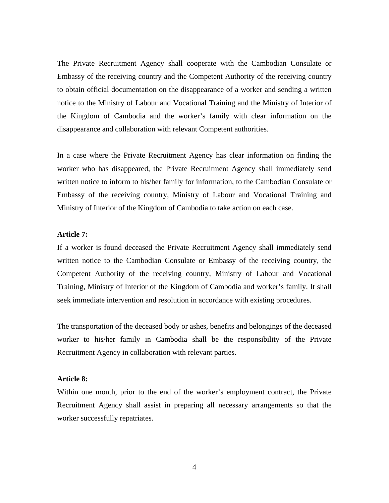The Private Recruitment Agency shall cooperate with the Cambodian Consulate or Embassy of the receiving country and the Competent Authority of the receiving country to obtain official documentation on the disappearance of a worker and sending a written notice to the Ministry of Labour and Vocational Training and the Ministry of Interior of the Kingdom of Cambodia and the worker's family with clear information on the disappearance and collaboration with relevant Competent authorities.

In a case where the Private Recruitment Agency has clear information on finding the worker who has disappeared, the Private Recruitment Agency shall immediately send written notice to inform to his/her family for information, to the Cambodian Consulate or Embassy of the receiving country, Ministry of Labour and Vocational Training and Ministry of Interior of the Kingdom of Cambodia to take action on each case.

## **Article 7:**

If a worker is found deceased the Private Recruitment Agency shall immediately send written notice to the Cambodian Consulate or Embassy of the receiving country, the Competent Authority of the receiving country, Ministry of Labour and Vocational Training, Ministry of Interior of the Kingdom of Cambodia and worker's family. It shall seek immediate intervention and resolution in accordance with existing procedures.

The transportation of the deceased body or ashes, benefits and belongings of the deceased worker to his/her family in Cambodia shall be the responsibility of the Private Recruitment Agency in collaboration with relevant parties.

#### **Article 8:**

Within one month, prior to the end of the worker's employment contract, the Private Recruitment Agency shall assist in preparing all necessary arrangements so that the worker successfully repatriates.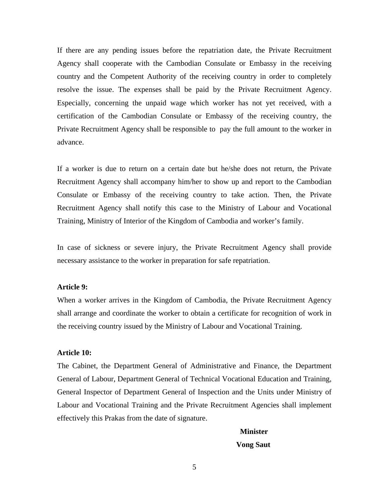If there are any pending issues before the repatriation date, the Private Recruitment Agency shall cooperate with the Cambodian Consulate or Embassy in the receiving country and the Competent Authority of the receiving country in order to completely resolve the issue. The expenses shall be paid by the Private Recruitment Agency. Especially, concerning the unpaid wage which worker has not yet received, with a certification of the Cambodian Consulate or Embassy of the receiving country, the Private Recruitment Agency shall be responsible to pay the full amount to the worker in advance.

If a worker is due to return on a certain date but he/she does not return, the Private Recruitment Agency shall accompany him/her to show up and report to the Cambodian Consulate or Embassy of the receiving country to take action. Then, the Private Recruitment Agency shall notify this case to the Ministry of Labour and Vocational Training, Ministry of Interior of the Kingdom of Cambodia and worker's family.

In case of sickness or severe injury, the Private Recruitment Agency shall provide necessary assistance to the worker in preparation for safe repatriation.

#### **Article 9:**

When a worker arrives in the Kingdom of Cambodia, the Private Recruitment Agency shall arrange and coordinate the worker to obtain a certificate for recognition of work in the receiving country issued by the Ministry of Labour and Vocational Training.

#### **Article 10:**

The Cabinet, the Department General of Administrative and Finance, the Department General of Labour, Department General of Technical Vocational Education and Training, General Inspector of Department General of Inspection and the Units under Ministry of Labour and Vocational Training and the Private Recruitment Agencies shall implement effectively this Prakas from the date of signature.

#### **Minister**

 **Vong Saut**